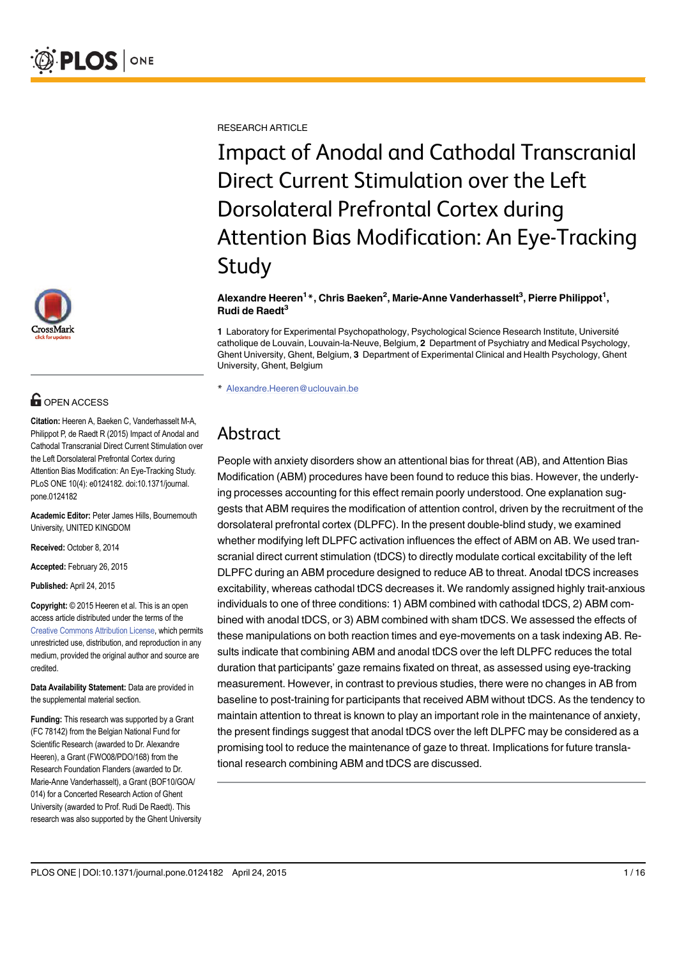

## **G** OPEN ACCESS

Citation: Heeren A, Baeken C, Vanderhasselt M-A, Philippot P, de Raedt R (2015) Impact of Anodal and Cathodal Transcranial Direct Current Stimulation over the Left Dorsolateral Prefrontal Cortex during Attention Bias Modification: An Eye-Tracking Study. PLoS ONE 10(4): e0124182. doi:10.1371/journal. pone.0124182

Academic Editor: Peter James Hills, Bournemouth University, UNITED KINGDOM

Received: October 8, 2014

Accepted: February 26, 2015

Published: April 24, 2015

Copyright: © 2015 Heeren et al. This is an open access article distributed under the terms of the [Creative Commons Attribution License,](http://creativecommons.org/licenses/by/4.0/) which permits unrestricted use, distribution, and reproduction in any medium, provided the original author and source are credited.

Data Availability Statement: Data are provided in the supplemental material section.

Funding: This research was supported by a Grant (FC 78142) from the Belgian National Fund for Scientific Research (awarded to Dr. Alexandre Heeren), a Grant (FWO08/PDO/168) from the Research Foundation Flanders (awarded to Dr. Marie-Anne Vanderhasselt), a Grant (BOF10/GOA/ 014) for a Concerted Research Action of Ghent University (awarded to Prof. Rudi De Raedt). This research was also supported by the Ghent University RESEARCH ARTICLE

Impact of Anodal and Cathodal Transcranial Direct Current Stimulation over the Left Dorsolateral Prefrontal Cortex during Attention Bias Modification: An Eye-Tracking Study

#### Alexandre Heeren<sup>1</sup>\*, Chris Baeken<sup>2</sup>, Marie-Anne Vanderhasselt<sup>3</sup>, Pierre Philippot<sup>1</sup>, Rudi de Raedt<sup>3</sup>

1 Laboratory for Experimental Psychopathology, Psychological Science Research Institute, Université catholique de Louvain, Louvain-la-Neuve, Belgium, 2 Department of Psychiatry and Medical Psychology, Ghent University, Ghent, Belgium, 3 Department of Experimental Clinical and Health Psychology, Ghent University, Ghent, Belgium

\* Alexandre.Heeren@uclouvain.be

# Abstract

People with anxiety disorders show an attentional bias for threat (AB), and Attention Bias Modification (ABM) procedures have been found to reduce this bias. However, the underlying processes accounting for this effect remain poorly understood. One explanation suggests that ABM requires the modification of attention control, driven by the recruitment of the dorsolateral prefrontal cortex (DLPFC). In the present double-blind study, we examined whether modifying left DLPFC activation influences the effect of ABM on AB. We used transcranial direct current stimulation (tDCS) to directly modulate cortical excitability of the left DLPFC during an ABM procedure designed to reduce AB to threat. Anodal tDCS increases excitability, whereas cathodal tDCS decreases it. We randomly assigned highly trait-anxious individuals to one of three conditions: 1) ABM combined with cathodal tDCS, 2) ABM combined with anodal tDCS, or 3) ABM combined with sham tDCS. We assessed the effects of these manipulations on both reaction times and eye-movements on a task indexing AB. Results indicate that combining ABM and anodal tDCS over the left DLPFC reduces the total duration that participants' gaze remains fixated on threat, as assessed using eye-tracking measurement. However, in contrast to previous studies, there were no changes in AB from baseline to post-training for participants that received ABM without tDCS. As the tendency to maintain attention to threat is known to play an important role in the maintenance of anxiety, the present findings suggest that anodal tDCS over the left DLPFC may be considered as a promising tool to reduce the maintenance of gaze to threat. Implications for future translational research combining ABM and tDCS are discussed.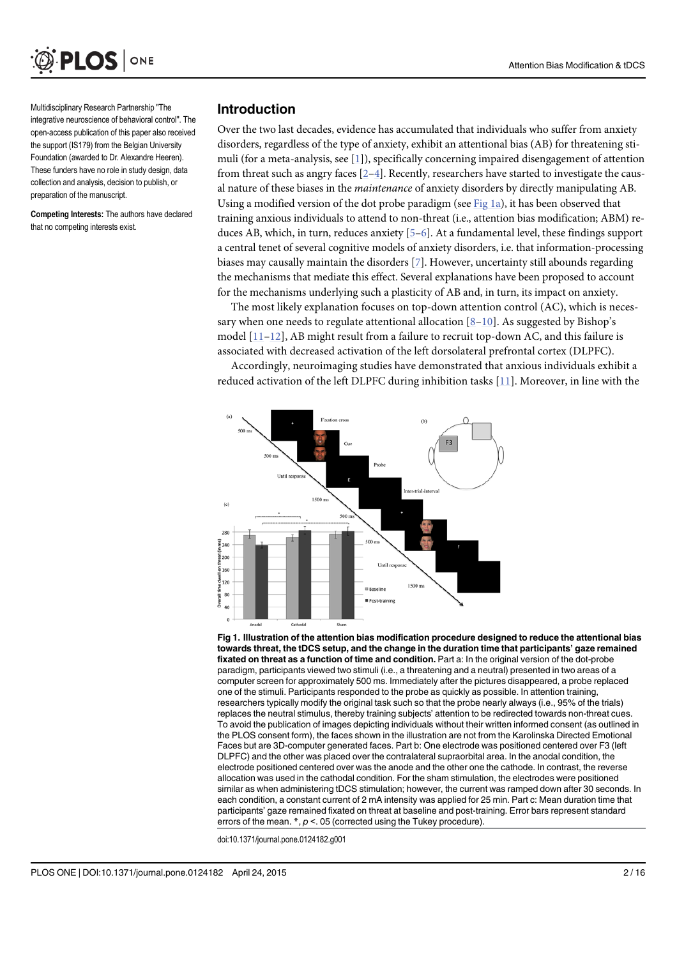

Multidisciplinary Research Partnership "The integrative neuroscience of behavioral control". The open-access publication of this paper also received the support (IS179) from the Belgian University Foundation (awarded to Dr. Alexandre Heeren). These funders have no role in study design, data collection and analysis, decision to publish, or preparation of the manuscript.

Competing Interests: The authors have declared that no competing interests exist.

## Introduction

Over the two last decades, evidence has accumulated that individuals who suffer from anxiety disorders, regardless of the type of anxiety, exhibit an attentional bias (AB) for threatening stimuli (for a meta-analysis, see [1]), specifically concerning impaired disengagement of attention from threat such as angry faces  $[2-4]$ . Recently, researchers have started to investigate the causal nature of these biases in the maintenance of anxiety disorders by directly manipulating AB. Using a modified version of the dot probe paradigm (see Fig 1a), it has been observed that training anxious individuals to attend to non-threat (i.e., attention bias modification; ABM) reduces AB, which, in turn, reduces anxiety [5–6]. At a fundamental level, these findings support a central tenet of several cognitive models of anxiety disorders, i.e. that information-processing biases may causally maintain the disorders [7]. However, uncertainty still abounds regarding the mechanisms that mediate this effect. Several explanations have been proposed to account for the mechanisms underlying such a plasticity of AB and, in turn, its impact on anxiety.

The most likely explanation focuses on top-down attention control (AC), which is necessary when one needs to regulate attentional allocation  $[8-10]$ . As suggested by Bishop's model [11–12], AB might result from a failure to recruit top-down AC, and this failure is associated with decreased activation of the left dorsolateral prefrontal cortex (DLPFC).

Accordingly, neuroimaging studies have demonstrated that anxious individuals exhibit a reduced activation of the left DLPFC during inhibition tasks  $[11]$ . Moreover, in line with the



Fig 1. Illustration of the attention bias modification procedure designed to reduce the attentional bias towards threat, the tDCS setup, and the change in the duration time that participants' gaze remained fixated on threat as a function of time and condition. Part a: In the original version of the dot-probe paradigm, participants viewed two stimuli (i.e., a threatening and a neutral) presented in two areas of a computer screen for approximately 500 ms. Immediately after the pictures disappeared, a probe replaced one of the stimuli. Participants responded to the probe as quickly as possible. In attention training, researchers typically modify the original task such so that the probe nearly always (i.e., 95% of the trials) replaces the neutral stimulus, thereby training subjects' attention to be redirected towards non-threat cues. To avoid the publication of images depicting individuals without their written informed consent (as outlined in the PLOS consent form), the faces shown in the illustration are not from the Karolinska Directed Emotional Faces but are 3D-computer generated faces. Part b: One electrode was positioned centered over F3 (left DLPFC) and the other was placed over the contralateral supraorbital area. In the anodal condition, the electrode positioned centered over was the anode and the other one the cathode. In contrast, the reverse allocation was used in the cathodal condition. For the sham stimulation, the electrodes were positioned similar as when administering tDCS stimulation; however, the current was ramped down after 30 seconds. In each condition, a constant current of 2 mA intensity was applied for 25 min. Part c: Mean duration time that participants' gaze remained fixated on threat at baseline and post-training. Error bars represent standard errors of the mean.  $*, p < 05$  (corrected using the Tukey procedure).

doi:10.1371/journal.pone.0124182.g001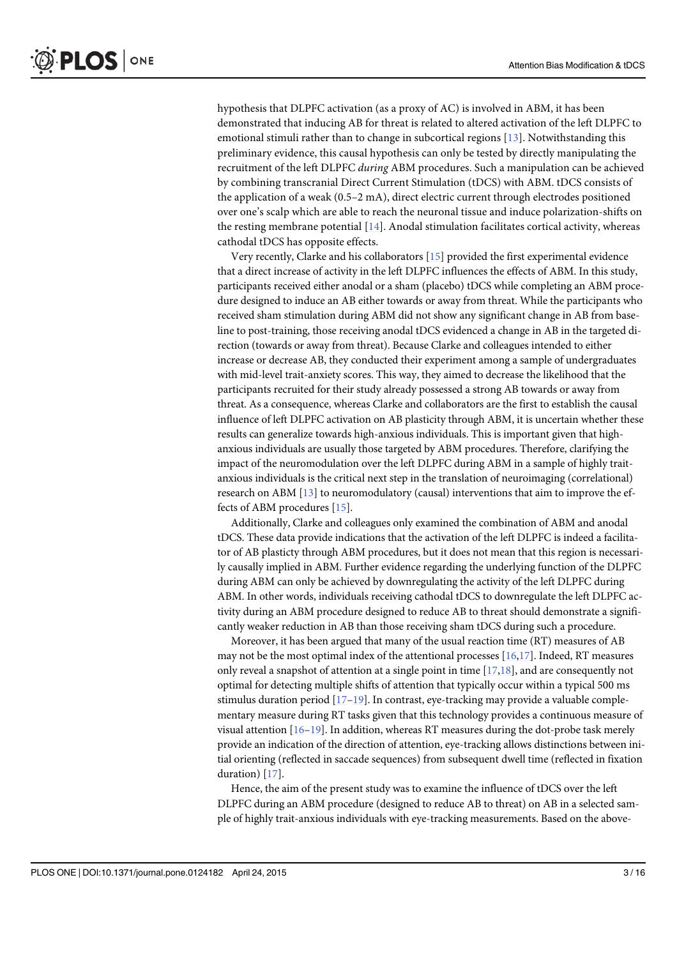hypothesis that DLPFC activation (as a proxy of AC) is involved in ABM, it has been demonstrated that inducing AB for threat is related to altered activation of the left DLPFC to emotional stimuli rather than to change in subcortical regions [13]. Notwithstanding this preliminary evidence, this causal hypothesis can only be tested by directly manipulating the recruitment of the left DLPFC during ABM procedures. Such a manipulation can be achieved by combining transcranial Direct Current Stimulation (tDCS) with ABM. tDCS consists of the application of a weak (0.5–2 mA), direct electric current through electrodes positioned over one's scalp which are able to reach the neuronal tissue and induce polarization-shifts on the resting membrane potential  $[14]$ . Anodal stimulation facilitates cortical activity, whereas cathodal tDCS has opposite effects.

Very recently, Clarke and his collaborators [15] provided the first experimental evidence that a direct increase of activity in the left DLPFC influences the effects of ABM. In this study, participants received either anodal or a sham (placebo) tDCS while completing an ABM procedure designed to induce an AB either towards or away from threat. While the participants who received sham stimulation during ABM did not show any significant change in AB from baseline to post-training, those receiving anodal tDCS evidenced a change in AB in the targeted direction (towards or away from threat). Because Clarke and colleagues intended to either increase or decrease AB, they conducted their experiment among a sample of undergraduates with mid-level trait-anxiety scores. This way, they aimed to decrease the likelihood that the participants recruited for their study already possessed a strong AB towards or away from threat. As a consequence, whereas Clarke and collaborators are the first to establish the causal influence of left DLPFC activation on AB plasticity through ABM, it is uncertain whether these results can generalize towards high-anxious individuals. This is important given that highanxious individuals are usually those targeted by ABM procedures. Therefore, clarifying the impact of the neuromodulation over the left DLPFC during ABM in a sample of highly traitanxious individuals is the critical next step in the translation of neuroimaging (correlational) research on ABM [13] to neuromodulatory (causal) interventions that aim to improve the effects of ABM procedures [15].

Additionally, Clarke and colleagues only examined the combination of ABM and anodal tDCS. These data provide indications that the activation of the left DLPFC is indeed a facilitator of AB plasticty through ABM procedures, but it does not mean that this region is necessarily causally implied in ABM. Further evidence regarding the underlying function of the DLPFC during ABM can only be achieved by downregulating the activity of the left DLPFC during ABM. In other words, individuals receiving cathodal tDCS to downregulate the left DLPFC activity during an ABM procedure designed to reduce AB to threat should demonstrate a significantly weaker reduction in AB than those receiving sham tDCS during such a procedure.

Moreover, it has been argued that many of the usual reaction time (RT) measures of AB may not be the most optimal index of the attentional processes  $[16,17]$ . Indeed, RT measures only reveal a snapshot of attention at a single point in time [17,18], and are consequently not optimal for detecting multiple shifts of attention that typically occur within a typical 500 ms stimulus duration period [17–19]. In contrast, eye-tracking may provide a valuable complementary measure during RT tasks given that this technology provides a continuous measure of visual attention [16–19]. In addition, whereas RT measures during the dot-probe task merely provide an indication of the direction of attention, eye-tracking allows distinctions between initial orienting (reflected in saccade sequences) from subsequent dwell time (reflected in fixation duration) [17].

Hence, the aim of the present study was to examine the influence of tDCS over the left DLPFC during an ABM procedure (designed to reduce AB to threat) on AB in a selected sample of highly trait-anxious individuals with eye-tracking measurements. Based on the above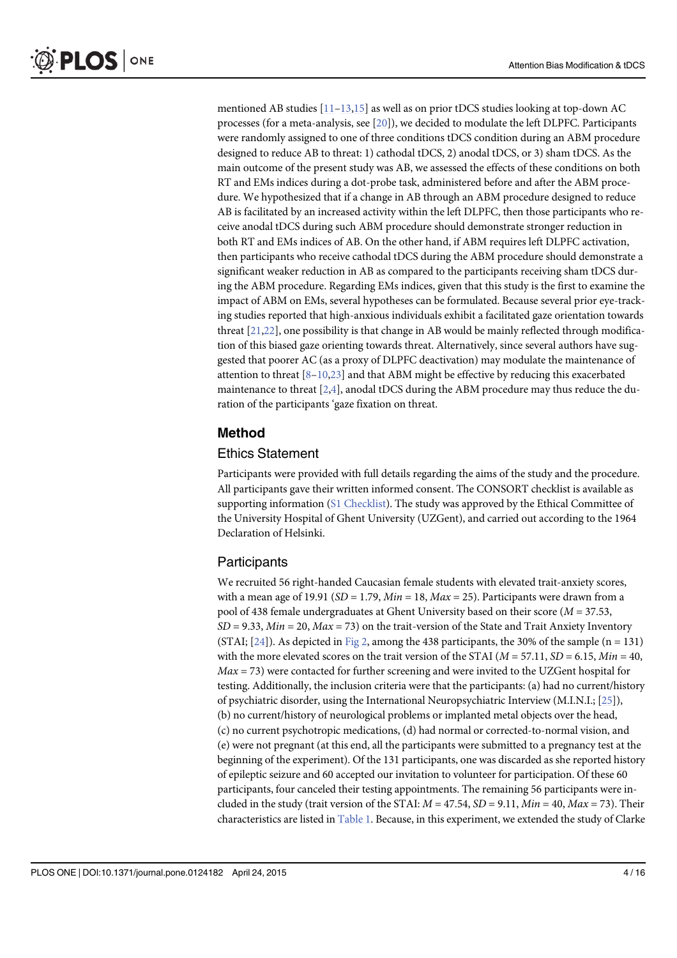mentioned AB studies  $[11-13,15]$  as well as on prior tDCS studies looking at top-down AC processes (for a meta-analysis, see  $[20]$ ), we decided to modulate the left DLPFC. Participants were randomly assigned to one of three conditions tDCS condition during an ABM procedure designed to reduce AB to threat: 1) cathodal tDCS, 2) anodal tDCS, or 3) sham tDCS. As the main outcome of the present study was AB, we assessed the effects of these conditions on both RT and EMs indices during a dot-probe task, administered before and after the ABM procedure. We hypothesized that if a change in AB through an ABM procedure designed to reduce AB is facilitated by an increased activity within the left DLPFC, then those participants who receive anodal tDCS during such ABM procedure should demonstrate stronger reduction in both RT and EMs indices of AB. On the other hand, if ABM requires left DLPFC activation, then participants who receive cathodal tDCS during the ABM procedure should demonstrate a significant weaker reduction in AB as compared to the participants receiving sham tDCS during the ABM procedure. Regarding EMs indices, given that this study is the first to examine the impact of ABM on EMs, several hypotheses can be formulated. Because several prior eye-tracking studies reported that high-anxious individuals exhibit a facilitated gaze orientation towards threat [21,22], one possibility is that change in AB would be mainly reflected through modification of this biased gaze orienting towards threat. Alternatively, since several authors have suggested that poorer AC (as a proxy of DLPFC deactivation) may modulate the maintenance of attention to threat  $[8-10,23]$  and that ABM might be effective by reducing this exacerbated maintenance to threat  $[2,4]$ , anodal tDCS during the ABM procedure may thus reduce the duration of the participants 'gaze fixation on threat.

## Method

## Ethics Statement

Participants were provided with full details regarding the aims of the study and the procedure. All participants gave their written informed consent. The CONSORT checklist is available as supporting information (S1 Checklist). The study was approved by the Ethical Committee of the University Hospital of Ghent University (UZGent), and carried out according to the 1964 Declaration of Helsinki.

## **Participants**

We recruited 56 right-handed Caucasian female students with elevated trait-anxiety scores, with a mean age of 19.91 ( $SD = 1.79$ ,  $Min = 18$ ,  $Max = 25$ ). Participants were drawn from a pool of 438 female undergraduates at Ghent University based on their score ( $M = 37.53$ ,  $SD = 9.33$ ,  $Min = 20$ ,  $Max = 73$ ) on the trait-version of the State and Trait Anxiety Inventory (STAI;  $[24]$ ). As depicted in Fig 2, among the 438 participants, the 30% of the sample (n = 131) with the more elevated scores on the trait version of the STAI ( $M = 57.11$ ,  $SD = 6.15$ ,  $Min = 40$ ,  $Max = 73$ ) were contacted for further screening and were invited to the UZGent hospital for testing. Additionally, the inclusion criteria were that the participants: (a) had no current/history of psychiatric disorder, using the International Neuropsychiatric Interview (M.I.N.I.; [25]), (b) no current/history of neurological problems or implanted metal objects over the head, (c) no current psychotropic medications, (d) had normal or corrected-to-normal vision, and (e) were not pregnant (at this end, all the participants were submitted to a pregnancy test at the beginning of the experiment). Of the 131 participants, one was discarded as she reported history of epileptic seizure and 60 accepted our invitation to volunteer for participation. Of these 60 participants, four canceled their testing appointments. The remaining 56 participants were included in the study (trait version of the STAI:  $M = 47.54$ ,  $SD = 9.11$ ,  $Min = 40$ ,  $Max = 73$ ). Their characteristics are listed in Table 1. Because, in this experiment, we extended the study of Clarke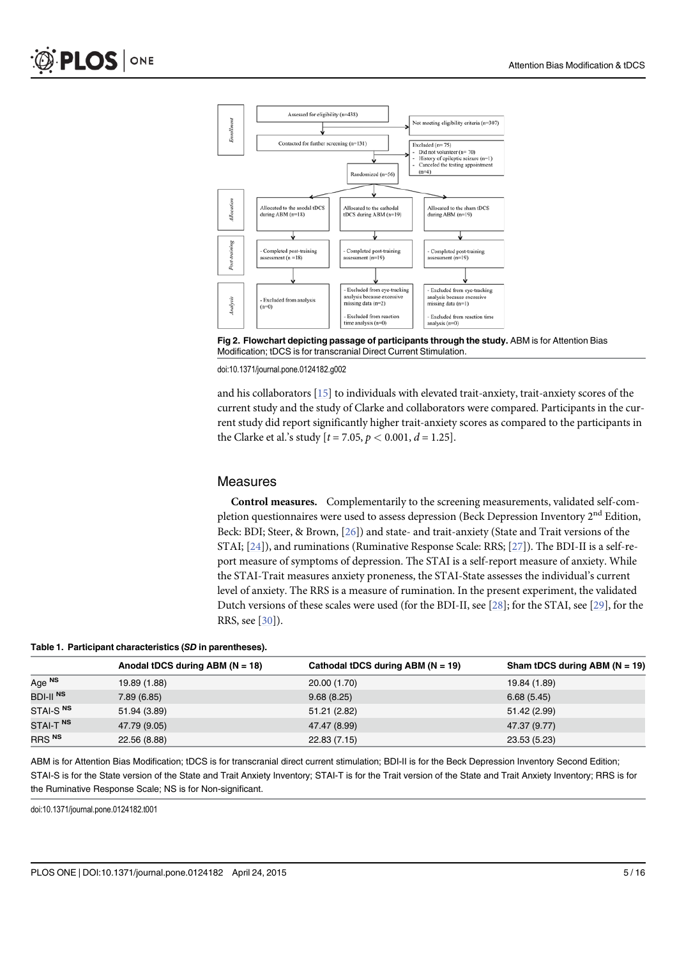

Fig 2. Flowchart depicting passage of participants through the study. ABM is for Attention Bias Modification; tDCS is for transcranial Direct Current Stimulation.

doi:10.1371/journal.pone.0124182.g002

and his collaborators [15] to individuals with elevated trait-anxiety, trait-anxiety scores of the current study and the study of Clarke and collaborators were compared. Participants in the current study did report significantly higher trait-anxiety scores as compared to the participants in the Clarke et al.'s study  $[t = 7.05, p < 0.001, d = 1.25]$ .

#### Measures

Control measures. Complementarily to the screening measurements, validated self-completion questionnaires were used to assess depression (Beck Depression Inventory  $2<sup>nd</sup>$  Edition, Beck: BDI; Steer, & Brown, [26]) and state- and trait-anxiety (State and Trait versions of the STAI; [24]), and ruminations (Ruminative Response Scale: RRS; [27]). The BDI-II is a self-report measure of symptoms of depression. The STAI is a self-report measure of anxiety. While the STAI-Trait measures anxiety proneness, the STAI-State assesses the individual's current level of anxiety. The RRS is a measure of rumination. In the present experiment, the validated Dutch versions of these scales were used (for the BDI-II, see [28]; for the STAI, see [29], for the RRS, see [30]).

| Table 1. Participant characteristics (SD in parentheses). |  |
|-----------------------------------------------------------|--|
|-----------------------------------------------------------|--|

|                      | Anodal tDCS during ABM ( $N = 18$ ) | Cathodal tDCS during ABM ( $N = 19$ ) | Sham tDCS during ABM ( $N = 19$ ) |
|----------------------|-------------------------------------|---------------------------------------|-----------------------------------|
| Age N <sub>S</sub>   | 19.89 (1.88)                        | 20.00 (1.70)                          | 19.84 (1.89)                      |
| BDI-II <sup>NS</sup> | 7.89(6.85)                          | 9.68(8.25)                            | 6.68(5.45)                        |
| STAI-S <sup>NS</sup> | 51.94 (3.89)                        | 51.21 (2.82)                          | 51.42 (2.99)                      |
| STAI-T <sup>NS</sup> | 47.79 (9.05)                        | 47.47 (8.99)                          | 47.37 (9.77)                      |
| RRS NS               | 22.56 (8.88)                        | 22.83 (7.15)                          | 23.53 (5.23)                      |

ABM is for Attention Bias Modification; tDCS is for transcranial direct current stimulation; BDI-II is for the Beck Depression Inventory Second Edition; STAI-S is for the State version of the State and Trait Anxiety Inventory; STAI-T is for the Trait version of the State and Trait Anxiety Inventory; RRS is for the Ruminative Response Scale; NS is for Non-significant.

doi:10.1371/journal.pone.0124182.t001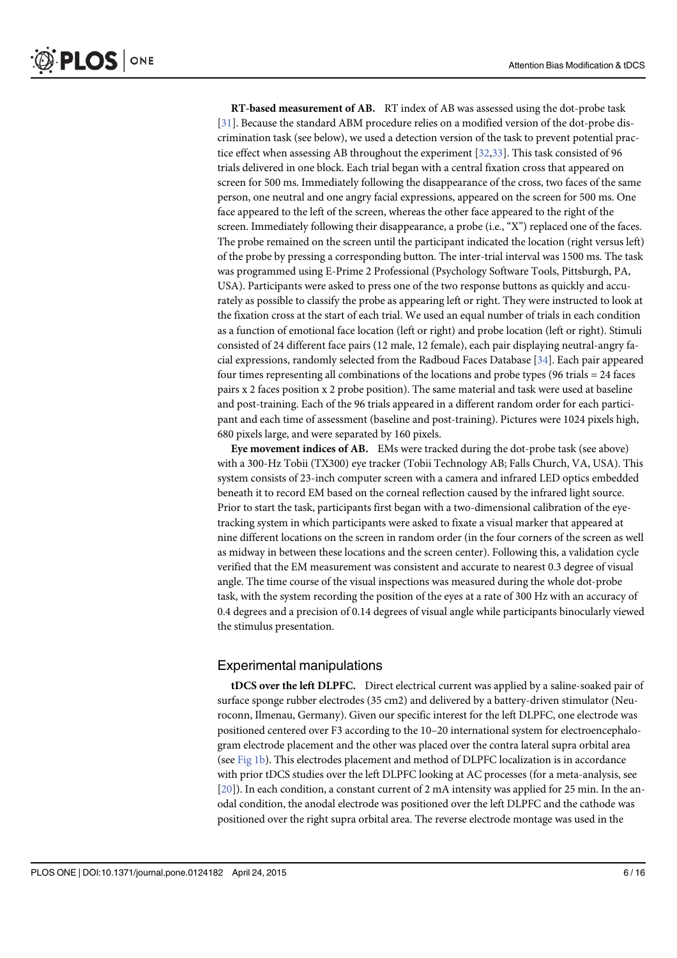RT-based measurement of AB. RT index of AB was assessed using the dot-probe task [31]. Because the standard ABM procedure relies on a modified version of the dot-probe discrimination task (see below), we used a detection version of the task to prevent potential practice effect when assessing AB throughout the experiment [32,33]. This task consisted of 96 trials delivered in one block. Each trial began with a central fixation cross that appeared on screen for 500 ms. Immediately following the disappearance of the cross, two faces of the same person, one neutral and one angry facial expressions, appeared on the screen for 500 ms. One face appeared to the left of the screen, whereas the other face appeared to the right of the screen. Immediately following their disappearance, a probe (i.e., "X") replaced one of the faces. The probe remained on the screen until the participant indicated the location (right versus left) of the probe by pressing a corresponding button. The inter-trial interval was 1500 ms. The task was programmed using E-Prime 2 Professional (Psychology Software Tools, Pittsburgh, PA, USA). Participants were asked to press one of the two response buttons as quickly and accurately as possible to classify the probe as appearing left or right. They were instructed to look at the fixation cross at the start of each trial. We used an equal number of trials in each condition as a function of emotional face location (left or right) and probe location (left or right). Stimuli consisted of 24 different face pairs (12 male, 12 female), each pair displaying neutral-angry facial expressions, randomly selected from the Radboud Faces Database [34]. Each pair appeared four times representing all combinations of the locations and probe types (96 trials = 24 faces pairs x 2 faces position x 2 probe position). The same material and task were used at baseline and post-training. Each of the 96 trials appeared in a different random order for each participant and each time of assessment (baseline and post-training). Pictures were 1024 pixels high, 680 pixels large, and were separated by 160 pixels.

Eye movement indices of AB. EMs were tracked during the dot-probe task (see above) with a 300-Hz Tobii (TX300) eye tracker (Tobii Technology AB; Falls Church, VA, USA). This system consists of 23-inch computer screen with a camera and infrared LED optics embedded beneath it to record EM based on the corneal reflection caused by the infrared light source. Prior to start the task, participants first began with a two-dimensional calibration of the eyetracking system in which participants were asked to fixate a visual marker that appeared at nine different locations on the screen in random order (in the four corners of the screen as well as midway in between these locations and the screen center). Following this, a validation cycle verified that the EM measurement was consistent and accurate to nearest 0.3 degree of visual angle. The time course of the visual inspections was measured during the whole dot-probe task, with the system recording the position of the eyes at a rate of 300 Hz with an accuracy of 0.4 degrees and a precision of 0.14 degrees of visual angle while participants binocularly viewed the stimulus presentation.

#### Experimental manipulations

tDCS over the left DLPFC. Direct electrical current was applied by a saline-soaked pair of surface sponge rubber electrodes (35 cm2) and delivered by a battery-driven stimulator (Neuroconn, Ilmenau, Germany). Given our specific interest for the left DLPFC, one electrode was positioned centered over F3 according to the 10–20 international system for electroencephalogram electrode placement and the other was placed over the contra lateral supra orbital area (see Fig 1b). This electrodes placement and method of DLPFC localization is in accordance with prior tDCS studies over the left DLPFC looking at AC processes (for a meta-analysis, see [20]). In each condition, a constant current of 2 mA intensity was applied for 25 min. In the anodal condition, the anodal electrode was positioned over the left DLPFC and the cathode was positioned over the right supra orbital area. The reverse electrode montage was used in the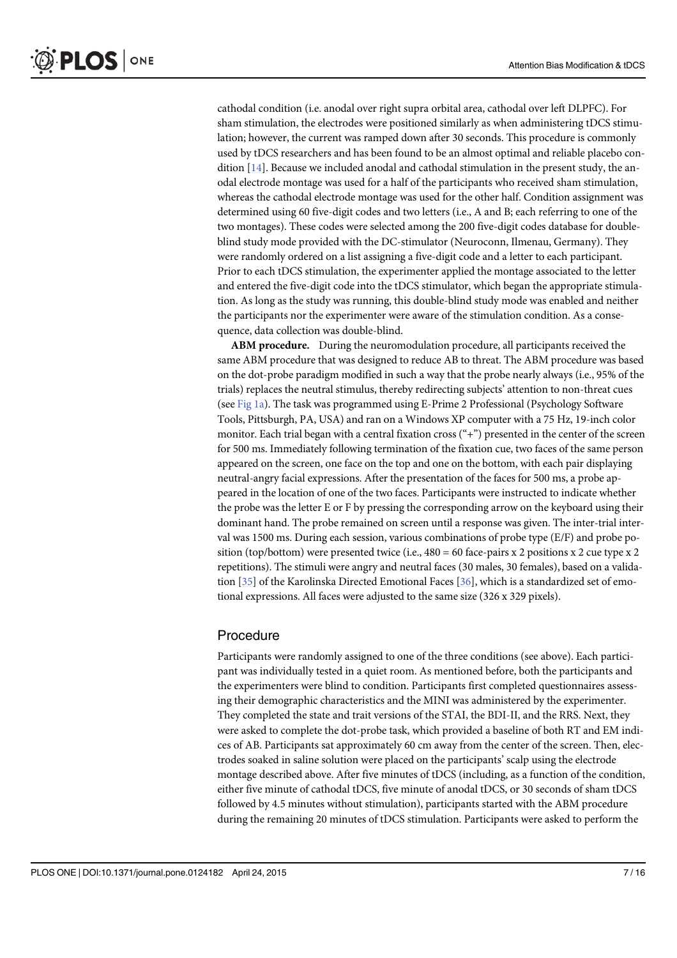cathodal condition (i.e. anodal over right supra orbital area, cathodal over left DLPFC). For sham stimulation, the electrodes were positioned similarly as when administering tDCS stimulation; however, the current was ramped down after 30 seconds. This procedure is commonly used by tDCS researchers and has been found to be an almost optimal and reliable placebo condition  $[14]$ . Because we included anodal and cathodal stimulation in the present study, the anodal electrode montage was used for a half of the participants who received sham stimulation, whereas the cathodal electrode montage was used for the other half. Condition assignment was determined using 60 five-digit codes and two letters (i.e., A and B; each referring to one of the two montages). These codes were selected among the 200 five-digit codes database for doubleblind study mode provided with the DC-stimulator (Neuroconn, Ilmenau, Germany). They were randomly ordered on a list assigning a five-digit code and a letter to each participant. Prior to each tDCS stimulation, the experimenter applied the montage associated to the letter and entered the five-digit code into the tDCS stimulator, which began the appropriate stimulation. As long as the study was running, this double-blind study mode was enabled and neither the participants nor the experimenter were aware of the stimulation condition. As a consequence, data collection was double-blind.

ABM procedure. During the neuromodulation procedure, all participants received the same ABM procedure that was designed to reduce AB to threat. The ABM procedure was based on the dot-probe paradigm modified in such a way that the probe nearly always (i.e., 95% of the trials) replaces the neutral stimulus, thereby redirecting subjects' attention to non-threat cues (see Fig 1a). The task was programmed using E-Prime 2 Professional (Psychology Software Tools, Pittsburgh, PA, USA) and ran on a Windows XP computer with a 75 Hz, 19-inch color monitor. Each trial began with a central fixation cross ("+") presented in the center of the screen for 500 ms. Immediately following termination of the fixation cue, two faces of the same person appeared on the screen, one face on the top and one on the bottom, with each pair displaying neutral-angry facial expressions. After the presentation of the faces for 500 ms, a probe appeared in the location of one of the two faces. Participants were instructed to indicate whether the probe was the letter E or F by pressing the corresponding arrow on the keyboard using their dominant hand. The probe remained on screen until a response was given. The inter-trial interval was 1500 ms. During each session, various combinations of probe type (E/F) and probe position (top/bottom) were presented twice (i.e.,  $480 = 60$  face-pairs x 2 positions x 2 cue type x 2 repetitions). The stimuli were angry and neutral faces (30 males, 30 females), based on a validation [35] of the Karolinska Directed Emotional Faces [36], which is a standardized set of emotional expressions. All faces were adjusted to the same size (326 x 329 pixels).

#### **Procedure**

Participants were randomly assigned to one of the three conditions (see above). Each participant was individually tested in a quiet room. As mentioned before, both the participants and the experimenters were blind to condition. Participants first completed questionnaires assessing their demographic characteristics and the MINI was administered by the experimenter. They completed the state and trait versions of the STAI, the BDI-II, and the RRS. Next, they were asked to complete the dot-probe task, which provided a baseline of both RT and EM indices of AB. Participants sat approximately 60 cm away from the center of the screen. Then, electrodes soaked in saline solution were placed on the participants' scalp using the electrode montage described above. After five minutes of tDCS (including, as a function of the condition, either five minute of cathodal tDCS, five minute of anodal tDCS, or 30 seconds of sham tDCS followed by 4.5 minutes without stimulation), participants started with the ABM procedure during the remaining 20 minutes of tDCS stimulation. Participants were asked to perform the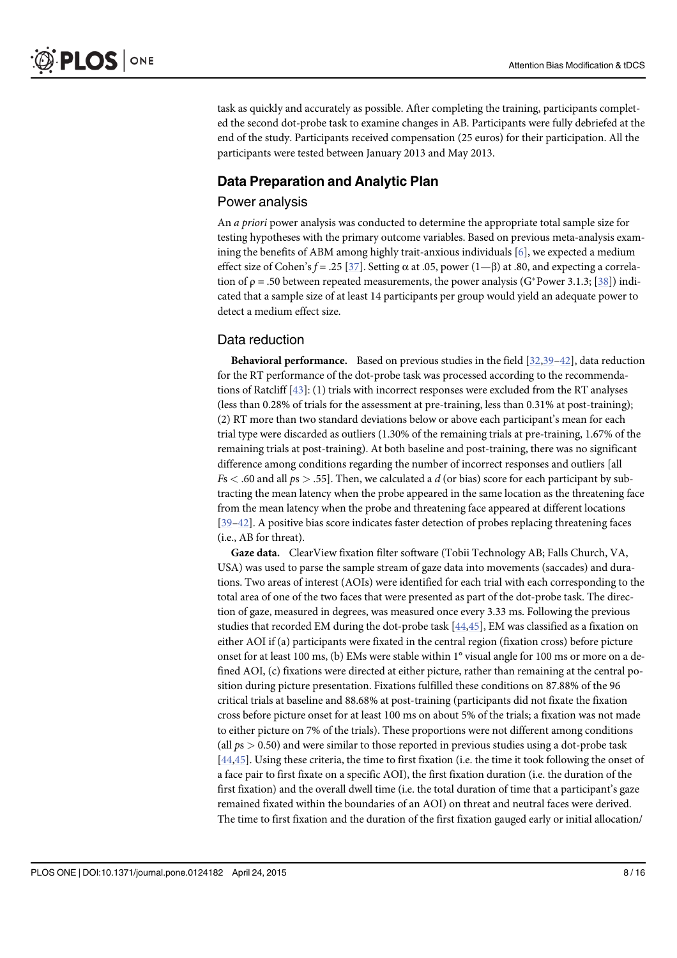task as quickly and accurately as possible. After completing the training, participants completed the second dot-probe task to examine changes in AB. Participants were fully debriefed at the end of the study. Participants received compensation (25 euros) for their participation. All the participants were tested between January 2013 and May 2013.

## Data Preparation and Analytic Plan

## Power analysis

An a priori power analysis was conducted to determine the appropriate total sample size for testing hypotheses with the primary outcome variables. Based on previous meta-analysis examining the benefits of ABM among highly trait-anxious individuals  $[6]$ , we expected a medium effect size of Cohen's  $f = .25$  [37]. Setting  $\alpha$  at .05, power (1- $\beta$ ) at .80, and expecting a correlation of  $\rho$  = .50 between repeated measurements, the power analysis (G\*Power 3.1.3; [38]) indicated that a sample size of at least 14 participants per group would yield an adequate power to detect a medium effect size.

## Data reduction

Behavioral performance. Based on previous studies in the field [32,39–42], data reduction for the RT performance of the dot-probe task was processed according to the recommendations of Ratcliff  $[43]$ : (1) trials with incorrect responses were excluded from the RT analyses (less than 0.28% of trials for the assessment at pre-training, less than 0.31% at post-training); (2) RT more than two standard deviations below or above each participant's mean for each trial type were discarded as outliers (1.30% of the remaining trials at pre-training, 1.67% of the remaining trials at post-training). At both baseline and post-training, there was no significant difference among conditions regarding the number of incorrect responses and outliers [all  $Fs < .60$  and all  $ps > .55$ ]. Then, we calculated a  $d$  (or bias) score for each participant by subtracting the mean latency when the probe appeared in the same location as the threatening face from the mean latency when the probe and threatening face appeared at different locations [39–42]. A positive bias score indicates faster detection of probes replacing threatening faces (i.e., AB for threat).

Gaze data. ClearView fixation filter software (Tobii Technology AB; Falls Church, VA, USA) was used to parse the sample stream of gaze data into movements (saccades) and durations. Two areas of interest (AOIs) were identified for each trial with each corresponding to the total area of one of the two faces that were presented as part of the dot-probe task. The direction of gaze, measured in degrees, was measured once every 3.33 ms. Following the previous studies that recorded EM during the dot-probe task [44,45], EM was classified as a fixation on either AOI if (a) participants were fixated in the central region (fixation cross) before picture onset for at least 100 ms, (b) EMs were stable within 1° visual angle for 100 ms or more on a defined AOI, (c) fixations were directed at either picture, rather than remaining at the central position during picture presentation. Fixations fulfilled these conditions on 87.88% of the 96 critical trials at baseline and 88.68% at post-training (participants did not fixate the fixation cross before picture onset for at least 100 ms on about 5% of the trials; a fixation was not made to either picture on 7% of the trials). These proportions were not different among conditions (all  $ps > 0.50$ ) and were similar to those reported in previous studies using a dot-probe task [44,45]. Using these criteria, the time to first fixation (i.e. the time it took following the onset of a face pair to first fixate on a specific AOI), the first fixation duration (i.e. the duration of the first fixation) and the overall dwell time (i.e. the total duration of time that a participant's gaze remained fixated within the boundaries of an AOI) on threat and neutral faces were derived. The time to first fixation and the duration of the first fixation gauged early or initial allocation/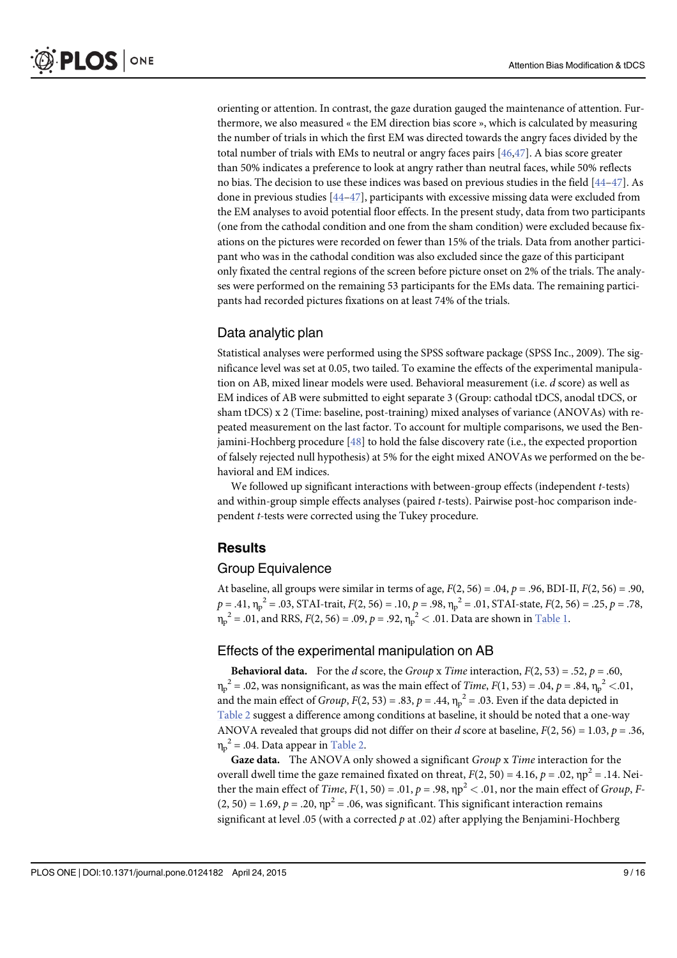orienting or attention. In contrast, the gaze duration gauged the maintenance of attention. Furthermore, we also measured « the EM direction bias score », which is calculated by measuring the number of trials in which the first EM was directed towards the angry faces divided by the total number of trials with EMs to neutral or angry faces pairs  $[46,47]$ . A bias score greater than 50% indicates a preference to look at angry rather than neutral faces, while 50% reflects no bias. The decision to use these indices was based on previous studies in the field  $[44-47]$ . As done in previous studies [44–47], participants with excessive missing data were excluded from the EM analyses to avoid potential floor effects. In the present study, data from two participants (one from the cathodal condition and one from the sham condition) were excluded because fixations on the pictures were recorded on fewer than 15% of the trials. Data from another participant who was in the cathodal condition was also excluded since the gaze of this participant only fixated the central regions of the screen before picture onset on 2% of the trials. The analyses were performed on the remaining 53 participants for the EMs data. The remaining participants had recorded pictures fixations on at least 74% of the trials.

## Data analytic plan

Statistical analyses were performed using the SPSS software package (SPSS Inc., 2009). The significance level was set at 0.05, two tailed. To examine the effects of the experimental manipulation on AB, mixed linear models were used. Behavioral measurement (i.e. d score) as well as EM indices of AB were submitted to eight separate 3 (Group: cathodal tDCS, anodal tDCS, or sham tDCS) x 2 (Time: baseline, post-training) mixed analyses of variance (ANOVAs) with repeated measurement on the last factor. To account for multiple comparisons, we used the Benjamini-Hochberg procedure [48] to hold the false discovery rate (i.e., the expected proportion of falsely rejected null hypothesis) at 5% for the eight mixed ANOVAs we performed on the behavioral and EM indices.

We followed up significant interactions with between-group effects (independent t-tests) and within-group simple effects analyses (paired t-tests). Pairwise post-hoc comparison independent t-tests were corrected using the Tukey procedure.

## **Results**

## Group Equivalence

At baseline, all groups were similar in terms of age,  $F(2, 56) = .04$ ,  $p = .96$ , BDI-II,  $F(2, 56) = .90$ ,  $p = .41$ ,  $\eta_p^2 = .03$ , STAI-trait,  $F(2, 56) = .10$ ,  $p = .98$ ,  $\eta_p^2 = .01$ , STAI-state,  $F(2, 56) = .25$ ,  $p = .78$ ,  $\eta_p^2 = .01$ , and RRS,  $F(2, 56) = .09$ ,  $p = .92$ ,  $\eta_p^2 < .01$ . Data are shown in <u>Table 1</u>.

#### Effects of the experimental manipulation on AB

**Behavioral data.** For the d score, the Group x Time interaction,  $F(2, 53) = .52$ ,  $p = .60$ ,  $η<sub>p</sub><sup>2</sup> = .02$ , was nonsignificant, as was the main effect of *Time*,  $F(1, 53) = .04$ ,  $p = .84$ ,  $η<sub>p</sub><sup>2</sup> < .01$ , and the main effect of Group,  $F(2, 53) = .83$ ,  $p = .44$ ,  $\eta_p^2 = .03$ . Even if the data depicted in Table 2 suggest a difference among conditions at baseline, it should be noted that a one-way ANOVA revealed that groups did not differ on their d score at baseline,  $F(2, 56) = 1.03$ ,  $p = .36$ ,  $\eta_{\rm p}^{\ \,2}$  = .04. Data appear in <u>Table 2</u>.

Gaze data. The ANOVA only showed a significant Group x Time interaction for the overall dwell time the gaze remained fixated on threat,  $F(2, 50) = 4.16$ ,  $p = .02$ ,  $np^2 = .14$ . Neither the main effect of *Time*,  $F(1, 50) = .01$ ,  $p = .98$ ,  $np^2 < .01$ , nor the main effect of *Group*, *F*- $(2, 50) = 1.69$ ,  $p = .20$ ,  $np^2 = .06$ , was significant. This significant interaction remains significant at level .05 (with a corrected  $p$  at .02) after applying the Benjamini-Hochberg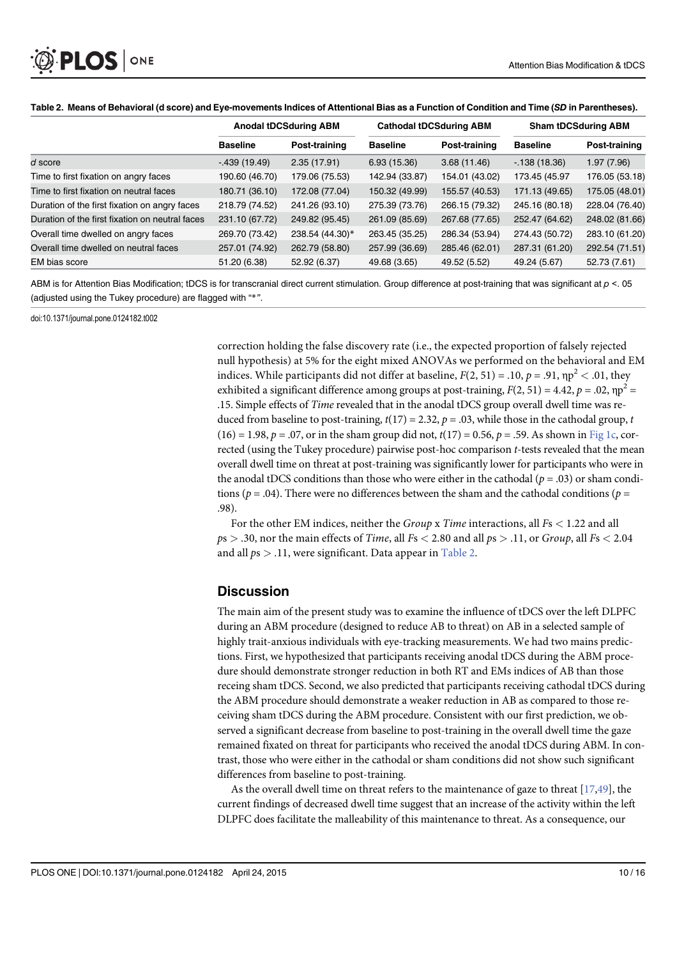|                                                 | <b>Anodal tDCSduring ABM</b> |                 | <b>Cathodal tDCSduring ABM</b> |                | <b>Sham tDCSduring ABM</b> |                |
|-------------------------------------------------|------------------------------|-----------------|--------------------------------|----------------|----------------------------|----------------|
|                                                 | <b>Baseline</b>              | Post-training   | <b>Baseline</b>                | Post-training  | <b>Baseline</b>            | Post-training  |
| d score                                         | $-439(19.49)$                | 2.35(17.91)     | 6.93(15.36)                    | 3.68(11.46)    | $-138(18.36)$              | 1.97(7.96)     |
| Time to first fixation on angry faces           | 190.60 (46.70)               | 179.06 (75.53)  | 142.94 (33.87)                 | 154.01 (43.02) | 173.45 (45.97              | 176.05 (53.18) |
| Time to first fixation on neutral faces         | 180.71 (36.10)               | 172.08 (77.04)  | 150.32 (49.99)                 | 155.57 (40.53) | 171.13 (49.65)             | 175.05 (48.01) |
| Duration of the first fixation on angry faces   | 218.79 (74.52)               | 241.26 (93.10)  | 275.39 (73.76)                 | 266.15 (79.32) | 245.16 (80.18)             | 228.04 (76.40) |
| Duration of the first fixation on neutral faces | 231.10 (67.72)               | 249.82 (95.45)  | 261.09 (85.69)                 | 267.68 (77.65) | 252.47 (64.62)             | 248.02 (81.66) |
| Overall time dwelled on angry faces             | 269.70 (73.42)               | 238.54 (44.30)* | 263.45 (35.25)                 | 286.34 (53.94) | 274.43 (50.72)             | 283.10 (61.20) |
| Overall time dwelled on neutral faces           | 257.01 (74.92)               | 262.79 (58.80)  | 257.99 (36.69)                 | 285.46 (62.01) | 287.31 (61.20)             | 292.54 (71.51) |
| EM bias score                                   | 51.20 (6.38)                 | 52.92 (6.37)    | 49.68 (3.65)                   | 49.52 (5.52)   | 49.24 (5.67)               | 52.73 (7.61)   |

Table 2. Means of Behavioral (d score) and Eye-movements Indices of Attentional Bias as a Function of Condition and Time (SD in Parentheses).

ABM is for Attention Bias Modification; tDCS is for transcranial direct current stimulation. Group difference at post-training that was significant at  $p < 05$ (adjusted using the Tukey procedure) are flagged with "\*".

doi:10.1371/journal.pone.0124182.t002

correction holding the false discovery rate (i.e., the expected proportion of falsely rejected null hypothesis) at 5% for the eight mixed ANOVAs we performed on the behavioral and EM indices. While participants did not differ at baseline,  $F(2, 51) = .10$ ,  $p = .91$ ,  $np^2 < .01$ , they exhibited a significant difference among groups at post-training,  $F(2, 51) = 4.42$ ,  $p = .02$ ,  $np^2 =$ .15. Simple effects of Time revealed that in the anodal tDCS group overall dwell time was reduced from baseline to post-training,  $t(17) = 2.32$ ,  $p = .03$ , while those in the cathodal group, t  $(16) = 1.98$ ,  $p = .07$ , or in the sham group did not,  $t(17) = 0.56$ ,  $p = .59$ . As shown in Fig 1c, corrected (using the Tukey procedure) pairwise post-hoc comparison t-tests revealed that the mean overall dwell time on threat at post-training was significantly lower for participants who were in the anodal tDCS conditions than those who were either in the cathodal ( $p = .03$ ) or sham conditions ( $p = .04$ ). There were no differences between the sham and the cathodal conditions ( $p =$ .98).

For the other EM indices, neither the Group x Time interactions, all  $Fs < 1.22$  and all  $ps > .30$ , nor the main effects of *Time*, all  $Fs < 2.80$  and all  $ps > .11$ , or *Group*, all  $Fs < 2.04$ and all  $ps > 0.11$ , were significant. Data appear in Table 2.

## **Discussion**

The main aim of the present study was to examine the influence of tDCS over the left DLPFC during an ABM procedure (designed to reduce AB to threat) on AB in a selected sample of highly trait-anxious individuals with eye-tracking measurements. We had two mains predictions. First, we hypothesized that participants receiving anodal tDCS during the ABM procedure should demonstrate stronger reduction in both RT and EMs indices of AB than those receing sham tDCS. Second, we also predicted that participants receiving cathodal tDCS during the ABM procedure should demonstrate a weaker reduction in AB as compared to those receiving sham tDCS during the ABM procedure. Consistent with our first prediction, we observed a significant decrease from baseline to post-training in the overall dwell time the gaze remained fixated on threat for participants who received the anodal tDCS during ABM. In contrast, those who were either in the cathodal or sham conditions did not show such significant differences from baseline to post-training.

As the overall dwell time on threat refers to the maintenance of gaze to threat [17,49], the current findings of decreased dwell time suggest that an increase of the activity within the left DLPFC does facilitate the malleability of this maintenance to threat. As a consequence, our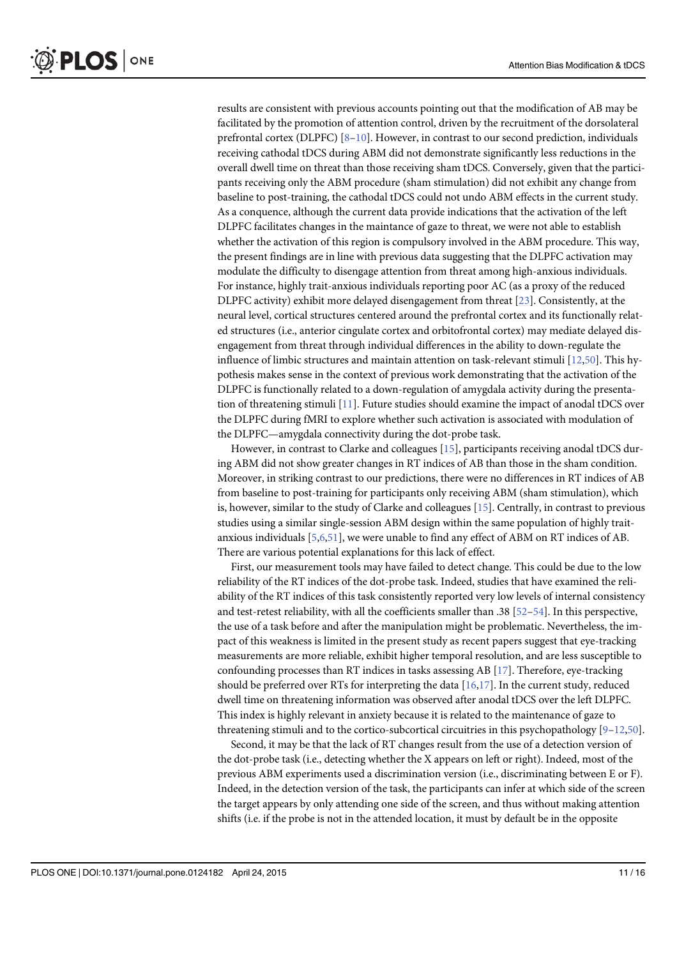results are consistent with previous accounts pointing out that the modification of AB may be facilitated by the promotion of attention control, driven by the recruitment of the dorsolateral prefrontal cortex (DLPFC)  $[8-10]$ . However, in contrast to our second prediction, individuals receiving cathodal tDCS during ABM did not demonstrate significantly less reductions in the overall dwell time on threat than those receiving sham tDCS. Conversely, given that the participants receiving only the ABM procedure (sham stimulation) did not exhibit any change from baseline to post-training, the cathodal tDCS could not undo ABM effects in the current study. As a conquence, although the current data provide indications that the activation of the left DLPFC facilitates changes in the maintance of gaze to threat, we were not able to establish whether the activation of this region is compulsory involved in the ABM procedure. This way, the present findings are in line with previous data suggesting that the DLPFC activation may modulate the difficulty to disengage attention from threat among high-anxious individuals. For instance, highly trait-anxious individuals reporting poor AC (as a proxy of the reduced DLPFC activity) exhibit more delayed disengagement from threat  $[23]$ . Consistently, at the neural level, cortical structures centered around the prefrontal cortex and its functionally related structures (i.e., anterior cingulate cortex and orbitofrontal cortex) may mediate delayed disengagement from threat through individual differences in the ability to down-regulate the influence of limbic structures and maintain attention on task-relevant stimuli [12,50]. This hypothesis makes sense in the context of previous work demonstrating that the activation of the DLPFC is functionally related to a down-regulation of amygdala activity during the presentation of threatening stimuli [11]. Future studies should examine the impact of anodal tDCS over the DLPFC during fMRI to explore whether such activation is associated with modulation of the DLPFC—amygdala connectivity during the dot-probe task.

However, in contrast to Clarke and colleagues [15], participants receiving anodal tDCS during ABM did not show greater changes in RT indices of AB than those in the sham condition. Moreover, in striking contrast to our predictions, there were no differences in RT indices of AB from baseline to post-training for participants only receiving ABM (sham stimulation), which is, however, similar to the study of Clarke and colleagues [15]. Centrally, in contrast to previous studies using a similar single-session ABM design within the same population of highly traitanxious individuals [5,6,51], we were unable to find any effect of ABM on RT indices of AB. There are various potential explanations for this lack of effect.

First, our measurement tools may have failed to detect change. This could be due to the low reliability of the RT indices of the dot-probe task. Indeed, studies that have examined the reliability of the RT indices of this task consistently reported very low levels of internal consistency and test-retest reliability, with all the coefficients smaller than .38  $[52-54]$ . In this perspective, the use of a task before and after the manipulation might be problematic. Nevertheless, the impact of this weakness is limited in the present study as recent papers suggest that eye-tracking measurements are more reliable, exhibit higher temporal resolution, and are less susceptible to confounding processes than RT indices in tasks assessing AB [17]. Therefore, eye-tracking should be preferred over RTs for interpreting the data  $[16,17]$ . In the current study, reduced dwell time on threatening information was observed after anodal tDCS over the left DLPFC. This index is highly relevant in anxiety because it is related to the maintenance of gaze to threatening stimuli and to the cortico-subcortical circuitries in this psychopathology [9–12,50].

Second, it may be that the lack of RT changes result from the use of a detection version of the dot-probe task (i.e., detecting whether the X appears on left or right). Indeed, most of the previous ABM experiments used a discrimination version (i.e., discriminating between E or F). Indeed, in the detection version of the task, the participants can infer at which side of the screen the target appears by only attending one side of the screen, and thus without making attention shifts (i.e. if the probe is not in the attended location, it must by default be in the opposite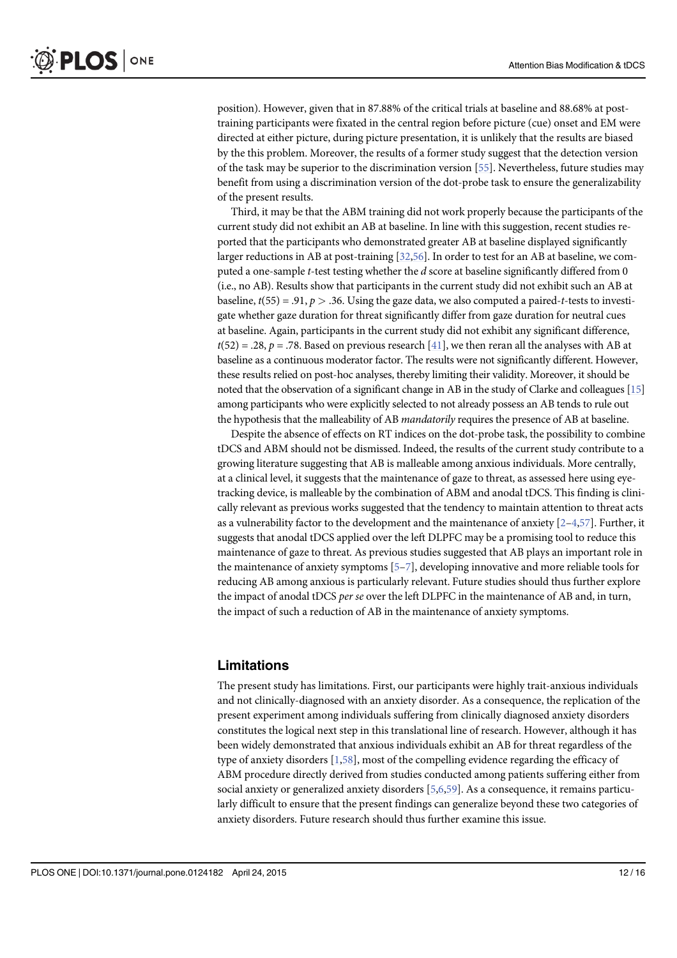position). However, given that in 87.88% of the critical trials at baseline and 88.68% at posttraining participants were fixated in the central region before picture (cue) onset and EM were directed at either picture, during picture presentation, it is unlikely that the results are biased by the this problem. Moreover, the results of a former study suggest that the detection version of the task may be superior to the discrimination version  $[55]$ . Nevertheless, future studies may benefit from using a discrimination version of the dot-probe task to ensure the generalizability of the present results.

Third, it may be that the ABM training did not work properly because the participants of the current study did not exhibit an AB at baseline. In line with this suggestion, recent studies reported that the participants who demonstrated greater AB at baseline displayed significantly larger reductions in AB at post-training [32,56]. In order to test for an AB at baseline, we computed a one-sample t-test testing whether the d score at baseline significantly differed from 0 (i.e., no AB). Results show that participants in the current study did not exhibit such an AB at baseline,  $t(55) = .91$ ,  $p > .36$ . Using the gaze data, we also computed a paired-t-tests to investigate whether gaze duration for threat significantly differ from gaze duration for neutral cues at baseline. Again, participants in the current study did not exhibit any significant difference,  $t(52) = .28$ ,  $p = .78$ . Based on previous research [41], we then reran all the analyses with AB at baseline as a continuous moderator factor. The results were not significantly different. However, these results relied on post-hoc analyses, thereby limiting their validity. Moreover, it should be noted that the observation of a significant change in AB in the study of Clarke and colleagues [15] among participants who were explicitly selected to not already possess an AB tends to rule out the hypothesis that the malleability of AB mandatorily requires the presence of AB at baseline.

Despite the absence of effects on RT indices on the dot-probe task, the possibility to combine tDCS and ABM should not be dismissed. Indeed, the results of the current study contribute to a growing literature suggesting that AB is malleable among anxious individuals. More centrally, at a clinical level, it suggests that the maintenance of gaze to threat, as assessed here using eyetracking device, is malleable by the combination of ABM and anodal tDCS. This finding is clinically relevant as previous works suggested that the tendency to maintain attention to threat acts as a vulnerability factor to the development and the maintenance of anxiety  $[2-4,57]$ . Further, it suggests that anodal tDCS applied over the left DLPFC may be a promising tool to reduce this maintenance of gaze to threat. As previous studies suggested that AB plays an important role in the maintenance of anxiety symptoms  $[5-7]$ , developing innovative and more reliable tools for reducing AB among anxious is particularly relevant. Future studies should thus further explore the impact of anodal tDCS per se over the left DLPFC in the maintenance of AB and, in turn, the impact of such a reduction of AB in the maintenance of anxiety symptoms.

## Limitations

The present study has limitations. First, our participants were highly trait-anxious individuals and not clinically-diagnosed with an anxiety disorder. As a consequence, the replication of the present experiment among individuals suffering from clinically diagnosed anxiety disorders constitutes the logical next step in this translational line of research. However, although it has been widely demonstrated that anxious individuals exhibit an AB for threat regardless of the type of anxiety disorders [1,58], most of the compelling evidence regarding the efficacy of ABM procedure directly derived from studies conducted among patients suffering either from social anxiety or generalized anxiety disorders [5,6,59]. As a consequence, it remains particularly difficult to ensure that the present findings can generalize beyond these two categories of anxiety disorders. Future research should thus further examine this issue.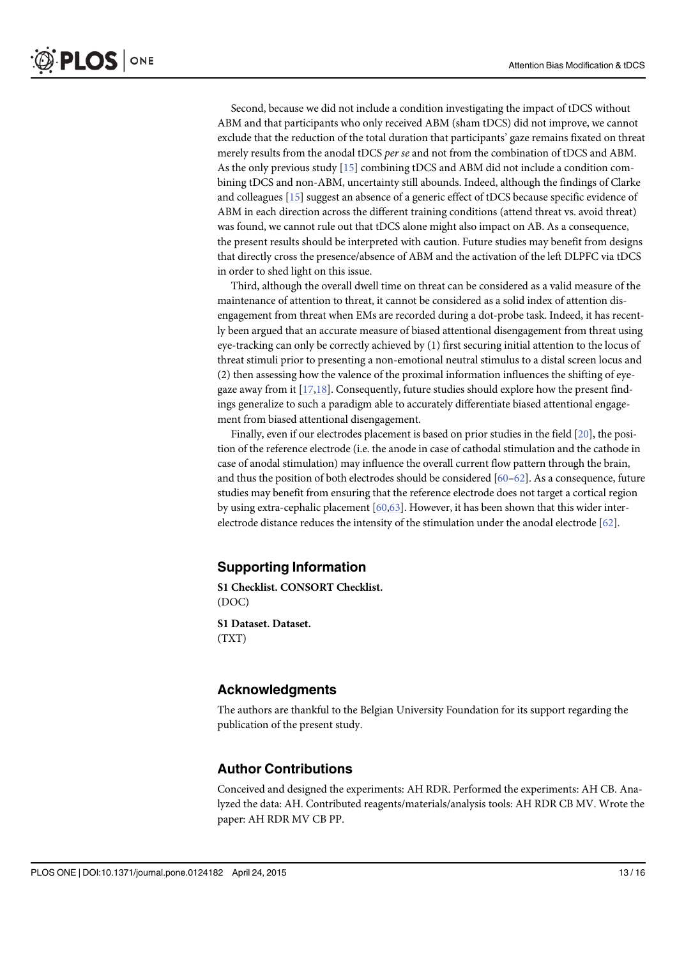Second, because we did not include a condition investigating the impact of tDCS without ABM and that participants who only received ABM (sham tDCS) did not improve, we cannot exclude that the reduction of the total duration that participants' gaze remains fixated on threat merely results from the anodal tDCS *per se* and not from the combination of tDCS and ABM. As the only previous study [15] combining tDCS and ABM did not include a condition combining tDCS and non-ABM, uncertainty still abounds. Indeed, although the findings of Clarke and colleagues [15] suggest an absence of a generic effect of tDCS because specific evidence of ABM in each direction across the different training conditions (attend threat vs. avoid threat) was found, we cannot rule out that tDCS alone might also impact on AB. As a consequence, the present results should be interpreted with caution. Future studies may benefit from designs that directly cross the presence/absence of ABM and the activation of the left DLPFC via tDCS in order to shed light on this issue.

Third, although the overall dwell time on threat can be considered as a valid measure of the maintenance of attention to threat, it cannot be considered as a solid index of attention disengagement from threat when EMs are recorded during a dot-probe task. Indeed, it has recently been argued that an accurate measure of biased attentional disengagement from threat using eye-tracking can only be correctly achieved by (1) first securing initial attention to the locus of threat stimuli prior to presenting a non-emotional neutral stimulus to a distal screen locus and (2) then assessing how the valence of the proximal information influences the shifting of eyegaze away from it  $[17,18]$ . Consequently, future studies should explore how the present findings generalize to such a paradigm able to accurately differentiate biased attentional engagement from biased attentional disengagement.

Finally, even if our electrodes placement is based on prior studies in the field [20], the position of the reference electrode (i.e. the anode in case of cathodal stimulation and the cathode in case of anodal stimulation) may influence the overall current flow pattern through the brain, and thus the position of both electrodes should be considered  $[60-62]$ . As a consequence, future studies may benefit from ensuring that the reference electrode does not target a cortical region by using extra-cephalic placement [60,63]. However, it has been shown that this wider interelectrode distance reduces the intensity of the stimulation under the anodal electrode  $[62]$ .

#### Supporting Information

[S1 Checklist.](http://www.plosone.org/article/fetchSingleRepresentation.action?uri=info:doi/10.1371/journal.pone.0124182.s001) CONSORT Checklist. (DOC)

[S1 Dataset.](http://www.plosone.org/article/fetchSingleRepresentation.action?uri=info:doi/10.1371/journal.pone.0124182.s002) Dataset. (TXT)

#### Acknowledgments

The authors are thankful to the Belgian University Foundation for its support regarding the publication of the present study.

#### Author Contributions

Conceived and designed the experiments: AH RDR. Performed the experiments: AH CB. Analyzed the data: AH. Contributed reagents/materials/analysis tools: AH RDR CB MV. Wrote the paper: AH RDR MV CB PP.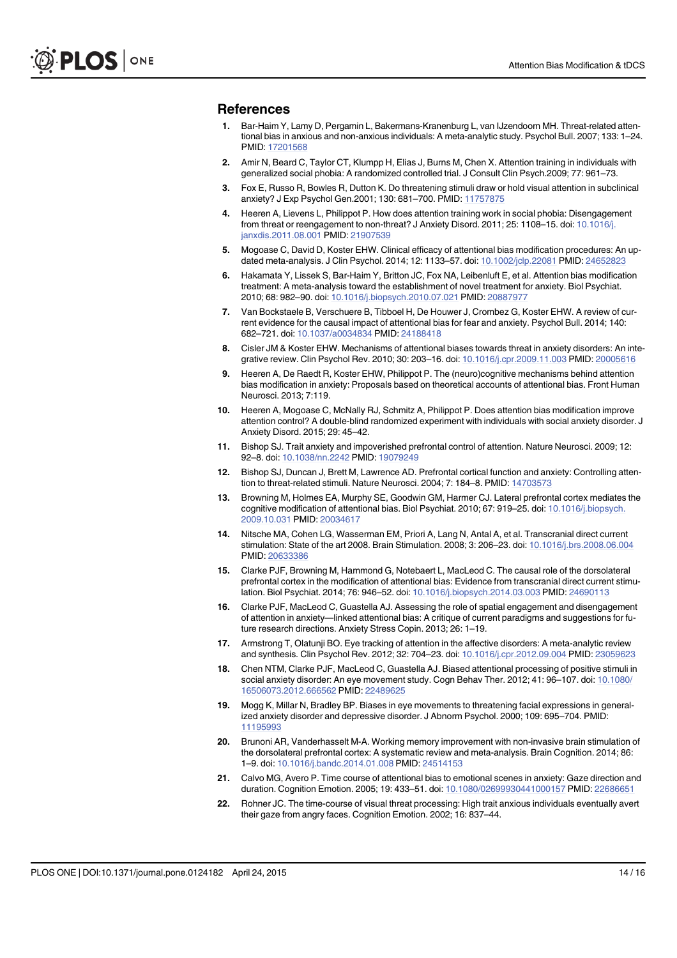#### **References**

- 1. Bar-Haim Y, Lamy D, Pergamin L, Bakermans-Kranenburg L, van IJzendoorn MH. Threat-related attentional bias in anxious and non-anxious individuals: A meta-analytic study. Psychol Bull. 2007; 133: 1–24. PMID: [17201568](http://www.ncbi.nlm.nih.gov/pubmed/17201568)
- 2. Amir N, Beard C, Taylor CT, Klumpp H, Elias J, Burns M, Chen X. Attention training in individuals with generalized social phobia: A randomized controlled trial. J Consult Clin Psych.2009; 77: 961–73.
- 3. Fox E, Russo R, Bowles R, Dutton K. Do threatening stimuli draw or hold visual attention in subclinical anxiety? J Exp Psychol Gen.2001; 130: 681–700. PMID: [11757875](http://www.ncbi.nlm.nih.gov/pubmed/11757875)
- Heeren A, Lievens L, Philippot P. How does attention training work in social phobia: Disengagement from threat or reengagement to non-threat? J Anxiety Disord. 2011; 25: 1108–15. doi: [10.1016/j.](http://dx.doi.org/10.1016/j.janxdis.2011.08.001) [janxdis.2011.08.001](http://dx.doi.org/10.1016/j.janxdis.2011.08.001) PMID: [21907539](http://www.ncbi.nlm.nih.gov/pubmed/21907539)
- 5. Mogoase C, David D, Koster EHW. Clinical efficacy of attentional bias modification procedures: An updated meta-analysis. J Clin Psychol. 2014; 12: 1133–57. doi: [10.1002/jclp.22081](http://dx.doi.org/10.1002/jclp.22081) PMID: [24652823](http://www.ncbi.nlm.nih.gov/pubmed/24652823)
- 6. Hakamata Y, Lissek S, Bar-Haim Y, Britton JC, Fox NA, Leibenluft E, et al. Attention bias modification treatment: A meta-analysis toward the establishment of novel treatment for anxiety. Biol Psychiat. 2010; 68: 982–90. doi: [10.1016/j.biopsych.2010.07.021](http://dx.doi.org/10.1016/j.biopsych.2010.07.021) PMID: [20887977](http://www.ncbi.nlm.nih.gov/pubmed/20887977)
- 7. Van Bockstaele B, Verschuere B, Tibboel H, De Houwer J, Crombez G, Koster EHW. A review of current evidence for the causal impact of attentional bias for fear and anxiety. Psychol Bull. 2014; 140: 682–721. doi: [10.1037/a0034834](http://dx.doi.org/10.1037/a0034834) PMID: [24188418](http://www.ncbi.nlm.nih.gov/pubmed/24188418)
- 8. Cisler JM & Koster EHW. Mechanisms of attentional biases towards threat in anxiety disorders: An integrative review. Clin Psychol Rev. 2010; 30: 203–16. doi: [10.1016/j.cpr.2009.11.003](http://dx.doi.org/10.1016/j.cpr.2009.11.003) PMID: [20005616](http://www.ncbi.nlm.nih.gov/pubmed/20005616)
- 9. Heeren A, De Raedt R, Koster EHW, Philippot P. The (neuro)cognitive mechanisms behind attention bias modification in anxiety: Proposals based on theoretical accounts of attentional bias. Front Human Neurosci. 2013; 7:119.
- 10. Heeren A, Mogoase C, McNally RJ, Schmitz A, Philippot P. Does attention bias modification improve attention control? A double-blind randomized experiment with individuals with social anxiety disorder. J Anxiety Disord. 2015; 29: 45–42.
- 11. Bishop SJ. Trait anxiety and impoverished prefrontal control of attention. Nature Neurosci. 2009; 12: 92–8. doi: [10.1038/nn.2242](http://dx.doi.org/10.1038/nn.2242) PMID: [19079249](http://www.ncbi.nlm.nih.gov/pubmed/19079249)
- 12. Bishop SJ, Duncan J, Brett M, Lawrence AD. Prefrontal cortical function and anxiety: Controlling attention to threat-related stimuli. Nature Neurosci. 2004; 7: 184–8. PMID: [14703573](http://www.ncbi.nlm.nih.gov/pubmed/14703573)
- 13. Browning M, Holmes EA, Murphy SE, Goodwin GM, Harmer CJ. Lateral prefrontal cortex mediates the cognitive modification of attentional bias. Biol Psychiat. 2010; 67: 919–25. doi: [10.1016/j.biopsych.](http://dx.doi.org/10.1016/j.biopsych.2009.10.031) [2009.10.031](http://dx.doi.org/10.1016/j.biopsych.2009.10.031) PMID: [20034617](http://www.ncbi.nlm.nih.gov/pubmed/20034617)
- 14. Nitsche MA, Cohen LG, Wasserman EM, Priori A, Lang N, Antal A, et al. Transcranial direct current stimulation: State of the art 2008. Brain Stimulation. 2008; 3: 206–23. doi: [10.1016/j.brs.2008.06.004](http://dx.doi.org/10.1016/j.brs.2008.06.004) PMID: [20633386](http://www.ncbi.nlm.nih.gov/pubmed/20633386)
- 15. Clarke PJF, Browning M, Hammond G, Notebaert L, MacLeod C. The causal role of the dorsolateral prefrontal cortex in the modification of attentional bias: Evidence from transcranial direct current stimulation. Biol Psychiat. 2014; 76: 946–52. doi: [10.1016/j.biopsych.2014.03.003](http://dx.doi.org/10.1016/j.biopsych.2014.03.003) PMID: [24690113](http://www.ncbi.nlm.nih.gov/pubmed/24690113)
- 16. Clarke PJF, MacLeod C, Guastella AJ. Assessing the role of spatial engagement and disengagement of attention in anxiety—linked attentional bias: A critique of current paradigms and suggestions for future research directions. Anxiety Stress Copin. 2013; 26: 1–19.
- 17. Armstrong T, Olatunji BO. Eye tracking of attention in the affective disorders: A meta-analytic review and synthesis. Clin Psychol Rev. 2012; 32: 704–23. doi: [10.1016/j.cpr.2012.09.004](http://dx.doi.org/10.1016/j.cpr.2012.09.004) PMID: [23059623](http://www.ncbi.nlm.nih.gov/pubmed/23059623)
- 18. Chen NTM, Clarke PJF, MacLeod C, Guastella AJ. Biased attentional processing of positive stimuli in social anxiety disorder: An eye movement study. Cogn Behav Ther. 2012; 41: 96–107. doi: [10.1080/](http://dx.doi.org/10.1080/16506073.2012.666562) [16506073.2012.666562](http://dx.doi.org/10.1080/16506073.2012.666562) PMID: [22489625](http://www.ncbi.nlm.nih.gov/pubmed/22489625)
- 19. Mogg K, Millar N, Bradley BP. Biases in eye movements to threatening facial expressions in generalized anxiety disorder and depressive disorder. J Abnorm Psychol. 2000; 109: 695–704. PMID: [11195993](http://www.ncbi.nlm.nih.gov/pubmed/11195993)
- 20. Brunoni AR, Vanderhasselt M-A, Working memory improvement with non-invasive brain stimulation of the dorsolateral prefrontal cortex: A systematic review and meta-analysis. Brain Cognition. 2014; 86: 1–9. doi: [10.1016/j.bandc.2014.01.008](http://dx.doi.org/10.1016/j.bandc.2014.01.008) PMID: [24514153](http://www.ncbi.nlm.nih.gov/pubmed/24514153)
- 21. Calvo MG, Avero P. Time course of attentional bias to emotional scenes in anxiety: Gaze direction and duration. Cognition Emotion. 2005; 19: 433–51. doi: [10.1080/02699930441000157](http://dx.doi.org/10.1080/02699930441000157) PMID: [22686651](http://www.ncbi.nlm.nih.gov/pubmed/22686651)
- 22. Rohner JC. The time-course of visual threat processing: High trait anxious individuals eventually avert their gaze from angry faces. Cognition Emotion. 2002; 16: 837–44.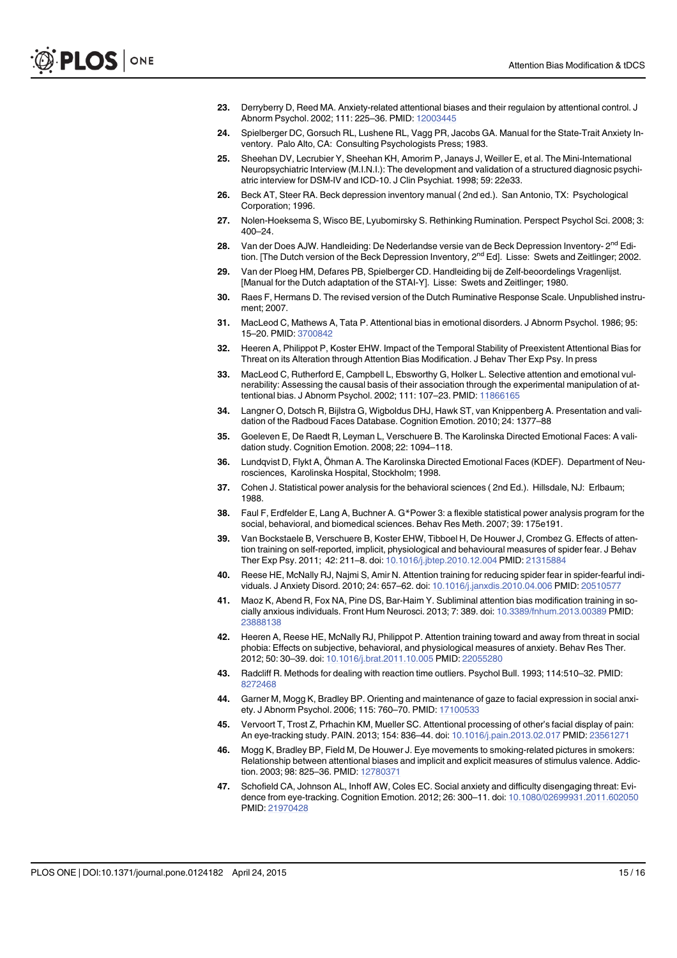- 23. Derryberry D, Reed MA. Anxiety-related attentional biases and their regulaion by attentional control. J Abnorm Psychol. 2002; 111: 225–36. PMID: [12003445](http://www.ncbi.nlm.nih.gov/pubmed/12003445)
- 24. Spielberger DC, Gorsuch RL, Lushene RL, Vagg PR, Jacobs GA. Manual for the State-Trait Anxiety Inventory. Palo Alto, CA: Consulting Psychologists Press; 1983.
- 25. Sheehan DV, Lecrubier Y, Sheehan KH, Amorim P, Janays J, Weiller E, et al. The Mini-International Neuropsychiatric Interview (M.I.N.I.): The development and validation of a structured diagnosic psychiatric interview for DSM-IV and ICD-10. J Clin Psychiat. 1998; 59: 22e33.
- 26. Beck AT, Steer RA. Beck depression inventory manual ( 2nd ed.). San Antonio, TX: Psychological Corporation; 1996.
- 27. Nolen-Hoeksema S, Wisco BE, Lyubomirsky S. Rethinking Rumination. Perspect Psychol Sci. 2008; 3: 400–24.
- 28. Van der Does AJW. Handleiding: De Nederlandse versie van de Beck Depression Inventory- 2<sup>nd</sup> Edition. [The Dutch version of the Beck Depression Inventory, 2<sup>nd</sup> Ed]. Lisse: Swets and Zeitlinger; 2002.
- 29. Van der Ploeg HM, Defares PB, Spielberger CD, Handleiding bij de Zelf-beoordelings Vragenlijst. [Manual for the Dutch adaptation of the STAI-Y]. Lisse: Swets and Zeitlinger; 1980.
- 30. Raes F, Hermans D. The revised version of the Dutch Ruminative Response Scale. Unpublished instrument; 2007.
- 31. MacLeod C, Mathews A, Tata P. Attentional bias in emotional disorders. J Abnorm Psychol. 1986; 95: 15–20. PMID: [3700842](http://www.ncbi.nlm.nih.gov/pubmed/3700842)
- 32. Heeren A, Philippot P, Koster EHW. Impact of the Temporal Stability of Preexistent Attentional Bias for Threat on its Alteration through Attention Bias Modification. J Behav Ther Exp Psy. In press
- 33. MacLeod C, Rutherford E, Campbell L, Ebsworthy G, Holker L. Selective attention and emotional vulnerability: Assessing the causal basis of their association through the experimental manipulation of attentional bias. J Abnorm Psychol. 2002; 111: 107–23. PMID: [11866165](http://www.ncbi.nlm.nih.gov/pubmed/11866165)
- 34. Langner O, Dotsch R, Bijlstra G, Wigboldus DHJ, Hawk ST, van Knippenberg A. Presentation and validation of the Radboud Faces Database. Cognition Emotion. 2010; 24: 1377–88
- 35. Goeleven E, De Raedt R, Leyman L, Verschuere B. The Karolinska Directed Emotional Faces: A validation study. Cognition Emotion. 2008; 22: 1094–118.
- 36. Lundqvist D, Flykt A, Öhman A. The Karolinska Directed Emotional Faces (KDEF). Department of Neurosciences, Karolinska Hospital, Stockholm; 1998.
- 37. Cohen J. Statistical power analysis for the behavioral sciences (2nd Ed.). Hillsdale, NJ: Erlbaum; 1988.
- 38. Faul F, Erdfelder E, Lang A, Buchner A. G\*Power 3: a flexible statistical power analysis program for the social, behavioral, and biomedical sciences. Behav Res Meth. 2007; 39: 175e191.
- 39. Van Bockstaele B, Verschuere B, Koster EHW, Tibboel H, De Houwer J, Crombez G. Effects of attention training on self-reported, implicit, physiological and behavioural measures of spider fear. J Behav Ther Exp Psy. 2011; 42: 211–8. doi: [10.1016/j.jbtep.2010.12.004](http://dx.doi.org/10.1016/j.jbtep.2010.12.004) PMID: [21315884](http://www.ncbi.nlm.nih.gov/pubmed/21315884)
- 40. Reese HE, McNally RJ, Najmi S, Amir N. Attention training for reducing spider fear in spider-fearful individuals. J Anxiety Disord. 2010; 24: 657–62. doi: [10.1016/j.janxdis.2010.04.006](http://dx.doi.org/10.1016/j.janxdis.2010.04.006) PMID: [20510577](http://www.ncbi.nlm.nih.gov/pubmed/20510577)
- 41. Maoz K, Abend R, Fox NA, Pine DS, Bar-Haim Y. Subliminal attention bias modification training in socially anxious individuals. Front Hum Neurosci. 2013; 7: 389. doi: [10.3389/fnhum.2013.00389](http://dx.doi.org/10.3389/fnhum.2013.00389) PMID: [23888138](http://www.ncbi.nlm.nih.gov/pubmed/23888138)
- 42. Heeren A, Reese HE, McNally RJ, Philippot P. Attention training toward and away from threat in social phobia: Effects on subjective, behavioral, and physiological measures of anxiety. Behav Res Ther. 2012; 50: 30–39. doi: [10.1016/j.brat.2011.10.005](http://dx.doi.org/10.1016/j.brat.2011.10.005) PMID: [22055280](http://www.ncbi.nlm.nih.gov/pubmed/22055280)
- 43. Radcliff R. Methods for dealing with reaction time outliers. Psychol Bull. 1993; 114:510–32. PMID: [8272468](http://www.ncbi.nlm.nih.gov/pubmed/8272468)
- 44. Garner M, Mogg K, Bradley BP. Orienting and maintenance of gaze to facial expression in social anxiety. J Abnorm Psychol. 2006; 115: 760–70. PMID: [17100533](http://www.ncbi.nlm.nih.gov/pubmed/17100533)
- 45. Vervoort T, Trost Z, Prhachin KM, Mueller SC. Attentional processing of other's facial display of pain: An eye-tracking study. PAIN. 2013; 154: 836-44. doi: [10.1016/j.pain.2013.02.017](http://dx.doi.org/10.1016/j.pain.2013.02.017) PMID: [23561271](http://www.ncbi.nlm.nih.gov/pubmed/23561271)
- 46. Mogg K, Bradley BP, Field M, De Houwer J. Eye movements to smoking-related pictures in smokers: Relationship between attentional biases and implicit and explicit measures of stimulus valence. Addiction. 2003; 98: 825–36. PMID: [12780371](http://www.ncbi.nlm.nih.gov/pubmed/12780371)
- 47. Schofield CA, Johnson AL, Inhoff AW, Coles EC. Social anxiety and difficulty disengaging threat: Evidence from eye-tracking. Cognition Emotion. 2012; 26: 300–11. doi: [10.1080/02699931.2011.602050](http://dx.doi.org/10.1080/02699931.2011.602050) PMID: [21970428](http://www.ncbi.nlm.nih.gov/pubmed/21970428)